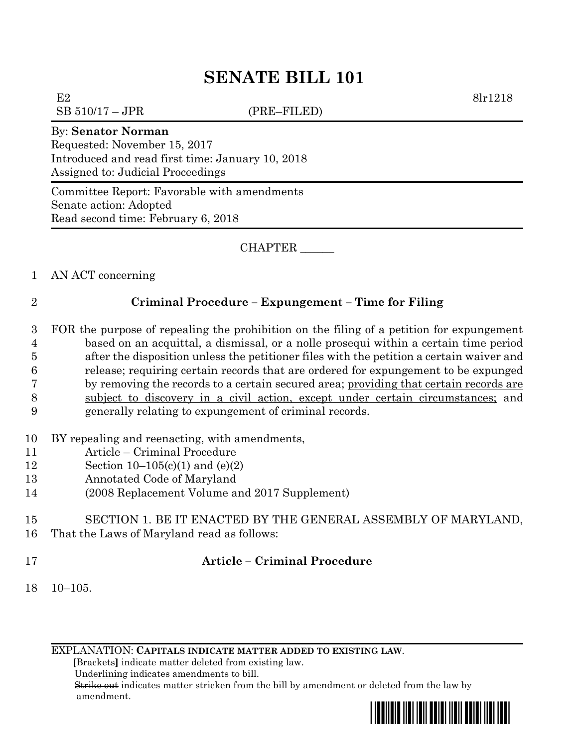# **SENATE BILL 101**

E2 8lr1218

 $SB 510/17 - JPR$  (PRE–FILED)

#### By: **Senator Norman**

Requested: November 15, 2017 Introduced and read first time: January 10, 2018 Assigned to: Judicial Proceedings

Committee Report: Favorable with amendments Senate action: Adopted Read second time: February 6, 2018

CHAPTER \_\_\_\_\_\_

1 AN ACT concerning

## 2 **Criminal Procedure – Expungement – Time for Filing**

- 3 FOR the purpose of repealing the prohibition on the filing of a petition for expungement 4 based on an acquittal, a dismissal, or a nolle prosequi within a certain time period 5 after the disposition unless the petitioner files with the petition a certain waiver and 6 release; requiring certain records that are ordered for expungement to be expunged 7 by removing the records to a certain secured area; providing that certain records are 8 subject to discovery in a civil action, except under certain circumstances; and 9 generally relating to expungement of criminal records.
- 10 BY repealing and reenacting, with amendments,
- 11 Article Criminal Procedure
- 12 Section 10–105(c)(1) and (e)(2)
- 13 Annotated Code of Maryland
- 14 (2008 Replacement Volume and 2017 Supplement)

#### 15 SECTION 1. BE IT ENACTED BY THE GENERAL ASSEMBLY OF MARYLAND, 16 That the Laws of Maryland read as follows:

## 17 **Article – Criminal Procedure**

18 10–105.

EXPLANATION: **CAPITALS INDICATE MATTER ADDED TO EXISTING LAW**.

 **[**Brackets**]** indicate matter deleted from existing law.

Underlining indicates amendments to bill.

 Strike out indicates matter stricken from the bill by amendment or deleted from the law by amendment.